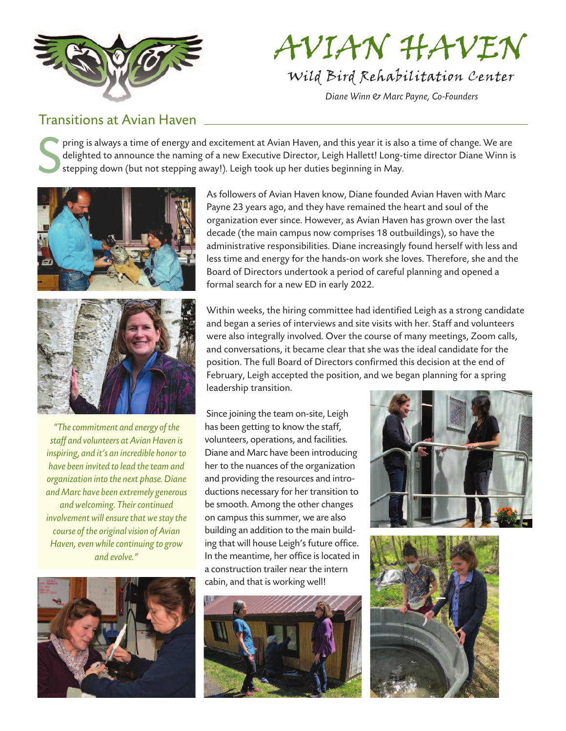

## AVIAN HAVEN

*Wild Bird Rehabilitation Center*

*Diane Winn & Marc Payne, Co-Founders*

## Transitions at Avian Haven

S pring is always a time of energy and excitement at Avian Haven, and this year it is also a time of change. We are delighted to announce the naming of a new Executive Director, Leigh Hallett! Long-time director Diane Winn is stepping down (but not stepping away!). Leigh took up her duties beginning in May.



*"Thecommitment and energy ofthe staff and volunteers atAvianHaven is inspiring, and it's an incredible honorto have been invited to lead the team and organization into the next phase.Diane and Marc have been extremely generous andwelcoming. Theircontinued involvement will ensure that we stay the course* of the original vision of Avian *Haven,evenwhilecontinuing to grow and evolve."*



As followers of Avian Haven know, Diane founded Avian Haven with Marc Payne 23 years ago, and they have remained the heart and soul of the organization ever since. However, as Avian Haven has grown over the last decade (the main campus now comprises 18 outbuildings), so have the administrative responsibilities. Diane increasingly found herself with less and less time and energy for the hands-on work she loves. Therefore, she and the Board of Directors undertook a period of careful planning and opened a formal search for a new ED in early 2022.

Within weeks, the hiring committee had identified Leigh as a strong candidate and began a series of interviews and site visits with her. Staff and volunteers were also integrally involved. Over the course of many meetings, Zoom calls, and conversations, it became clear that she was the ideal candidate for the position. The full Board of Directors confirmed this decision at the end of February, Leigh accepted the position, and we began planning for a spring leadership transition.

Since joining the team on-site, Leigh has been getting to know the staff, volunteers, operations, and facilities. Diane and Marc have been introducing her to the nuances of the organization and providing the resources and introductions necessary for her transition to be smooth. Among the other changes on campus this summer, we are also building an addition to the main building that will house Leigh's future office. In the meantime, her office is located in a construction trailer near the intern cabin, and that is working well!